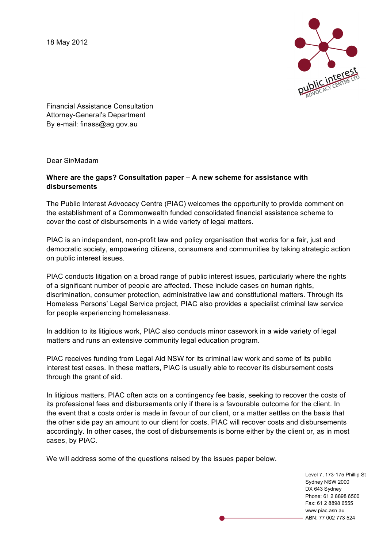18 May 2012



Financial Assistance Consultation Attorney-General's Department By e-mail: finass@ag.gov.au

Dear Sir/Madam

# **Where are the gaps? Consultation paper – A new scheme for assistance with disbursements**

The Public Interest Advocacy Centre (PIAC) welcomes the opportunity to provide comment on the establishment of a Commonwealth funded consolidated financial assistance scheme to cover the cost of disbursements in a wide variety of legal matters.

PIAC is an independent, non-profit law and policy organisation that works for a fair, just and democratic society, empowering citizens, consumers and communities by taking strategic action on public interest issues.

PIAC conducts litigation on a broad range of public interest issues, particularly where the rights of a significant number of people are affected. These include cases on human rights, discrimination, consumer protection, administrative law and constitutional matters. Through its Homeless Persons' Legal Service project, PIAC also provides a specialist criminal law service for people experiencing homelessness.

In addition to its litigious work, PIAC also conducts minor casework in a wide variety of legal matters and runs an extensive community legal education program.

PIAC receives funding from Legal Aid NSW for its criminal law work and some of its public interest test cases. In these matters, PIAC is usually able to recover its disbursement costs through the grant of aid.

In litigious matters, PIAC often acts on a contingency fee basis, seeking to recover the costs of its professional fees and disbursements only if there is a favourable outcome for the client. In the event that a costs order is made in favour of our client, or a matter settles on the basis that the other side pay an amount to our client for costs, PIAC will recover costs and disbursements accordingly. In other cases, the cost of disbursements is borne either by the client or, as in most cases, by PIAC.

We will address some of the questions raised by the issues paper below.

Level 7, 173-175 Phillip St Sydney NSW 2000 DX 643 Sydney Phone: 61 2 8898 6500 Fax: 61 2 8898 6555 www.piac.asn.au ABN: 77 002 773 524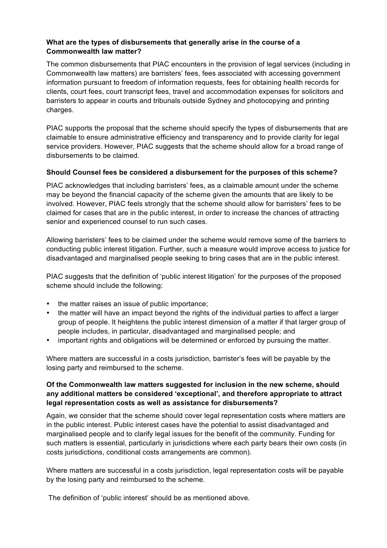## **What are the types of disbursements that generally arise in the course of a Commonwealth law matter?**

The common disbursements that PIAC encounters in the provision of legal services (including in Commonwealth law matters) are barristers' fees, fees associated with accessing government information pursuant to freedom of information requests, fees for obtaining health records for clients, court fees, court transcript fees, travel and accommodation expenses for solicitors and barristers to appear in courts and tribunals outside Sydney and photocopying and printing charges.

PIAC supports the proposal that the scheme should specify the types of disbursements that are claimable to ensure administrative efficiency and transparency and to provide clarity for legal service providers. However, PIAC suggests that the scheme should allow for a broad range of disbursements to be claimed.

## **Should Counsel fees be considered a disbursement for the purposes of this scheme?**

PIAC acknowledges that including barristers' fees, as a claimable amount under the scheme may be beyond the financial capacity of the scheme given the amounts that are likely to be involved. However, PIAC feels strongly that the scheme should allow for barristers' fees to be claimed for cases that are in the public interest, in order to increase the chances of attracting senior and experienced counsel to run such cases.

Allowing barristers' fees to be claimed under the scheme would remove some of the barriers to conducting public interest litigation. Further, such a measure would improve access to justice for disadvantaged and marginalised people seeking to bring cases that are in the public interest.

PIAC suggests that the definition of 'public interest litigation' for the purposes of the proposed scheme should include the following:

- the matter raises an issue of public importance;
- the matter will have an impact beyond the rights of the individual parties to affect a larger group of people. It heightens the public interest dimension of a matter if that larger group of people includes, in particular, disadvantaged and marginalised people; and
- important rights and obligations will be determined or enforced by pursuing the matter.

Where matters are successful in a costs jurisdiction, barrister's fees will be payable by the losing party and reimbursed to the scheme.

# **Of the Commonwealth law matters suggested for inclusion in the new scheme, should any additional matters be considered 'exceptional', and therefore appropriate to attract legal representation costs as well as assistance for disbursements?**

Again, we consider that the scheme should cover legal representation costs where matters are in the public interest. Public interest cases have the potential to assist disadvantaged and marginalised people and to clarify legal issues for the benefit of the community. Funding for such matters is essential, particularly in jurisdictions where each party bears their own costs (in costs jurisdictions, conditional costs arrangements are common).

Where matters are successful in a costs jurisdiction, legal representation costs will be payable by the losing party and reimbursed to the scheme.

The definition of 'public interest' should be as mentioned above.